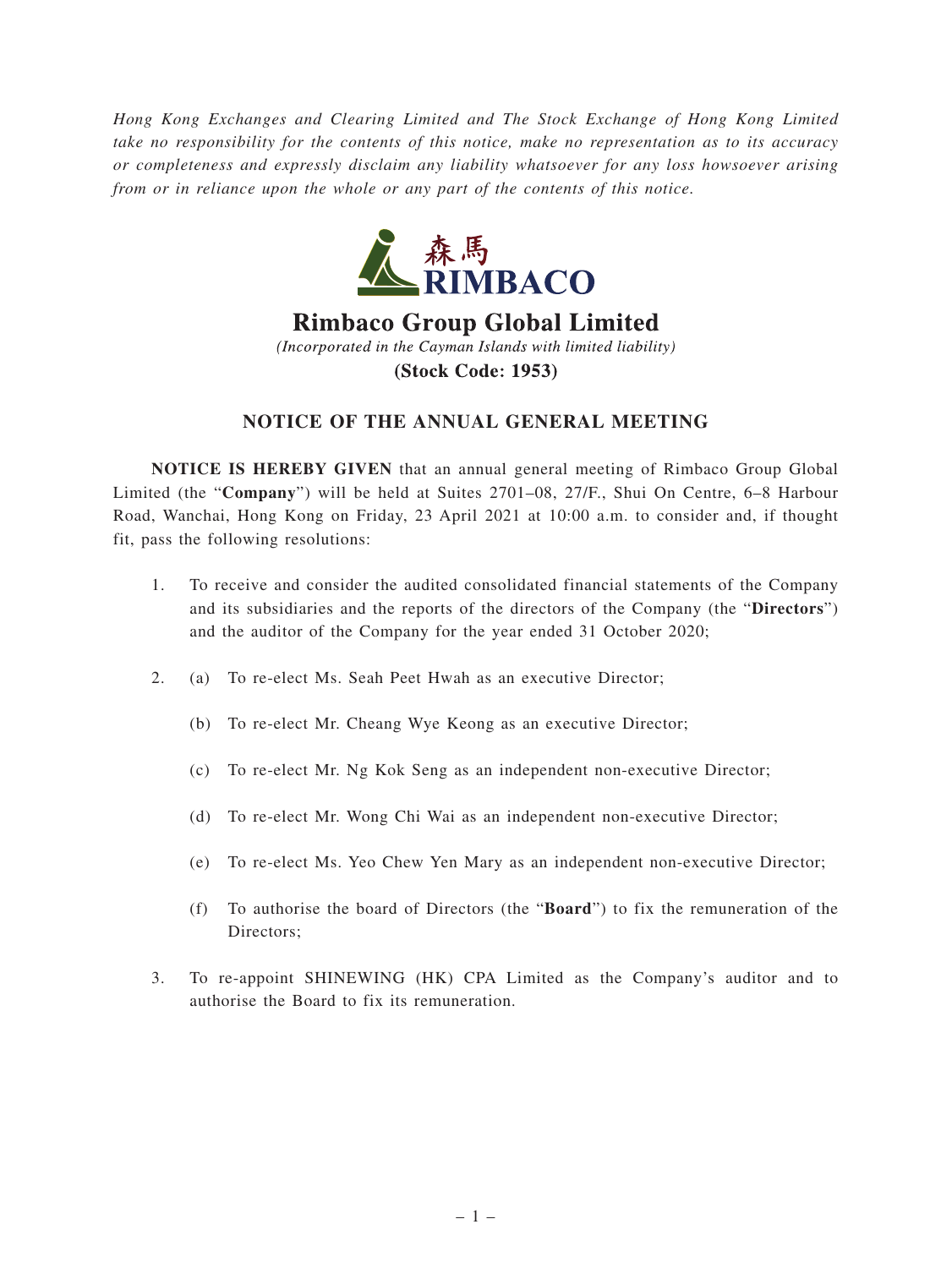*Hong Kong Exchanges and Clearing Limited and The Stock Exchange of Hong Kong Limited take no responsibility for the contents of this notice, make no representation as to its accuracy or completeness and expressly disclaim any liability whatsoever for any loss howsoever arising from or in reliance upon the whole or any part of the contents of this notice.*



**Rimbaco Group Global Limited** (Incorporated in the Cayman Islands with limited liability) (Stock Code: 1953)

## **NOTICE OF THE ANNUAL GENERAL MEETING**

**NOTICE IS HEREBY GIVEN** that an annual general meeting of Rimbaco Group Global Limited (the "**Company**") will be held at Suites 2701–08, 27/F., Shui On Centre, 6–8 Harbour Road, Wanchai, Hong Kong on Friday, 23 April 2021 at 10:00 a.m. to consider and, if thought fit, pass the following resolutions:

- 1. To receive and consider the audited consolidated financial statements of the Company and its subsidiaries and the reports of the directors of the Company (the "**Directors**") and the auditor of the Company for the year ended 31 October 2020;
- 2. (a) To re-elect Ms. Seah Peet Hwah as an executive Director;
	- (b) To re-elect Mr. Cheang Wye Keong as an executive Director;
	- (c) To re-elect Mr. Ng Kok Seng as an independent non-executive Director;
	- (d) To re-elect Mr. Wong Chi Wai as an independent non-executive Director;
	- (e) To re-elect Ms. Yeo Chew Yen Mary as an independent non-executive Director;
	- (f) To authorise the board of Directors (the "**Board**") to fix the remuneration of the Directors:
- 3. To re-appoint SHINEWING (HK) CPA Limited as the Company's auditor and to authorise the Board to fix its remuneration.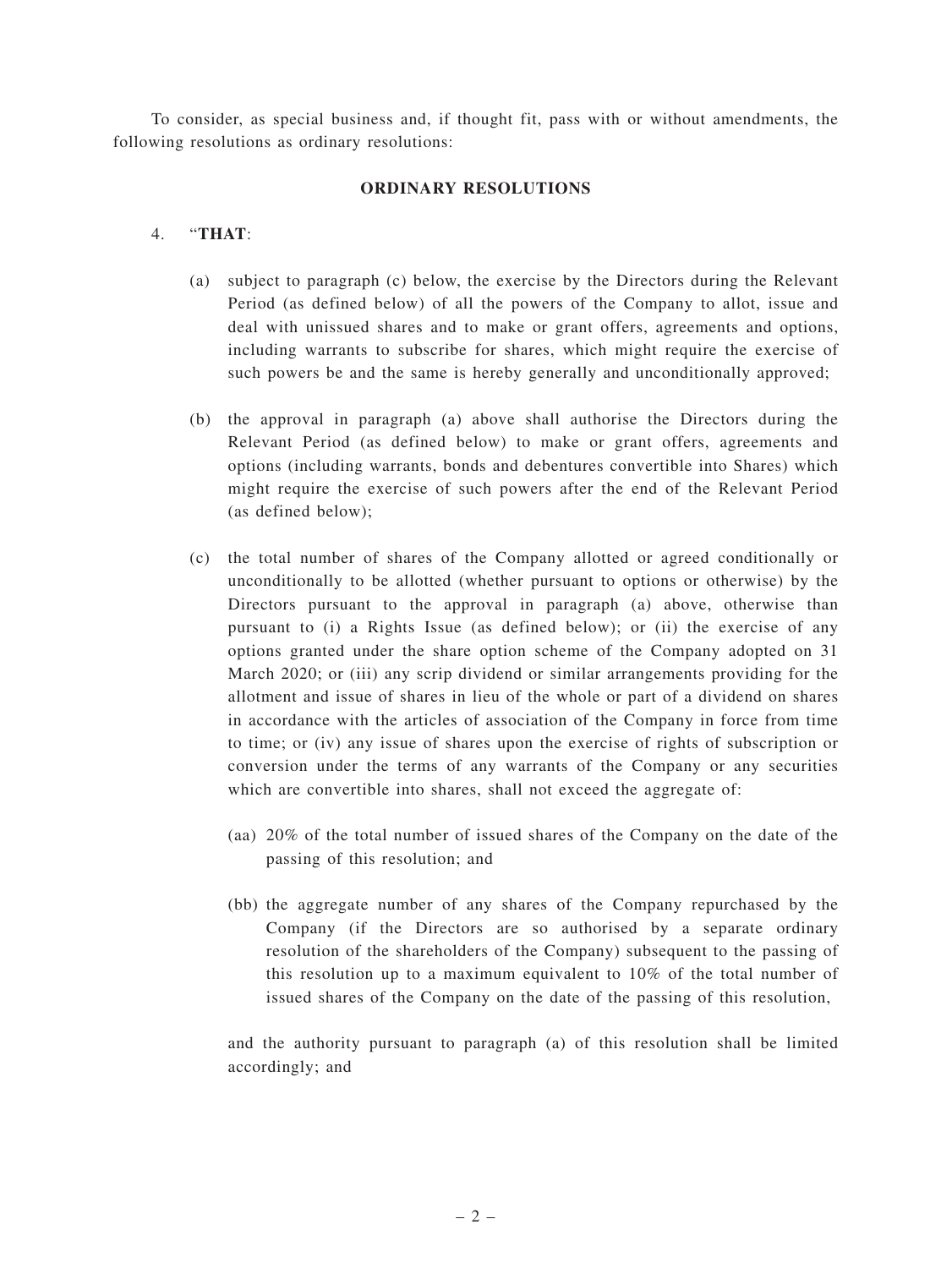To consider, as special business and, if thought fit, pass with or without amendments, the following resolutions as ordinary resolutions:

## **ORDINARY RESOLUTIONS**

## 4. "**THAT**:

- (a) subject to paragraph (c) below, the exercise by the Directors during the Relevant Period (as defined below) of all the powers of the Company to allot, issue and deal with unissued shares and to make or grant offers, agreements and options, including warrants to subscribe for shares, which might require the exercise of such powers be and the same is hereby generally and unconditionally approved;
- (b) the approval in paragraph (a) above shall authorise the Directors during the Relevant Period (as defined below) to make or grant offers, agreements and options (including warrants, bonds and debentures convertible into Shares) which might require the exercise of such powers after the end of the Relevant Period (as defined below);
- (c) the total number of shares of the Company allotted or agreed conditionally or unconditionally to be allotted (whether pursuant to options or otherwise) by the Directors pursuant to the approval in paragraph (a) above, otherwise than pursuant to (i) a Rights Issue (as defined below); or (ii) the exercise of any options granted under the share option scheme of the Company adopted on 31 March 2020; or (iii) any scrip dividend or similar arrangements providing for the allotment and issue of shares in lieu of the whole or part of a dividend on shares in accordance with the articles of association of the Company in force from time to time; or (iv) any issue of shares upon the exercise of rights of subscription or conversion under the terms of any warrants of the Company or any securities which are convertible into shares, shall not exceed the aggregate of:
	- (aa) 20% of the total number of issued shares of the Company on the date of the passing of this resolution; and
	- (bb) the aggregate number of any shares of the Company repurchased by the Company (if the Directors are so authorised by a separate ordinary resolution of the shareholders of the Company) subsequent to the passing of this resolution up to a maximum equivalent to 10% of the total number of issued shares of the Company on the date of the passing of this resolution,

and the authority pursuant to paragraph (a) of this resolution shall be limited accordingly; and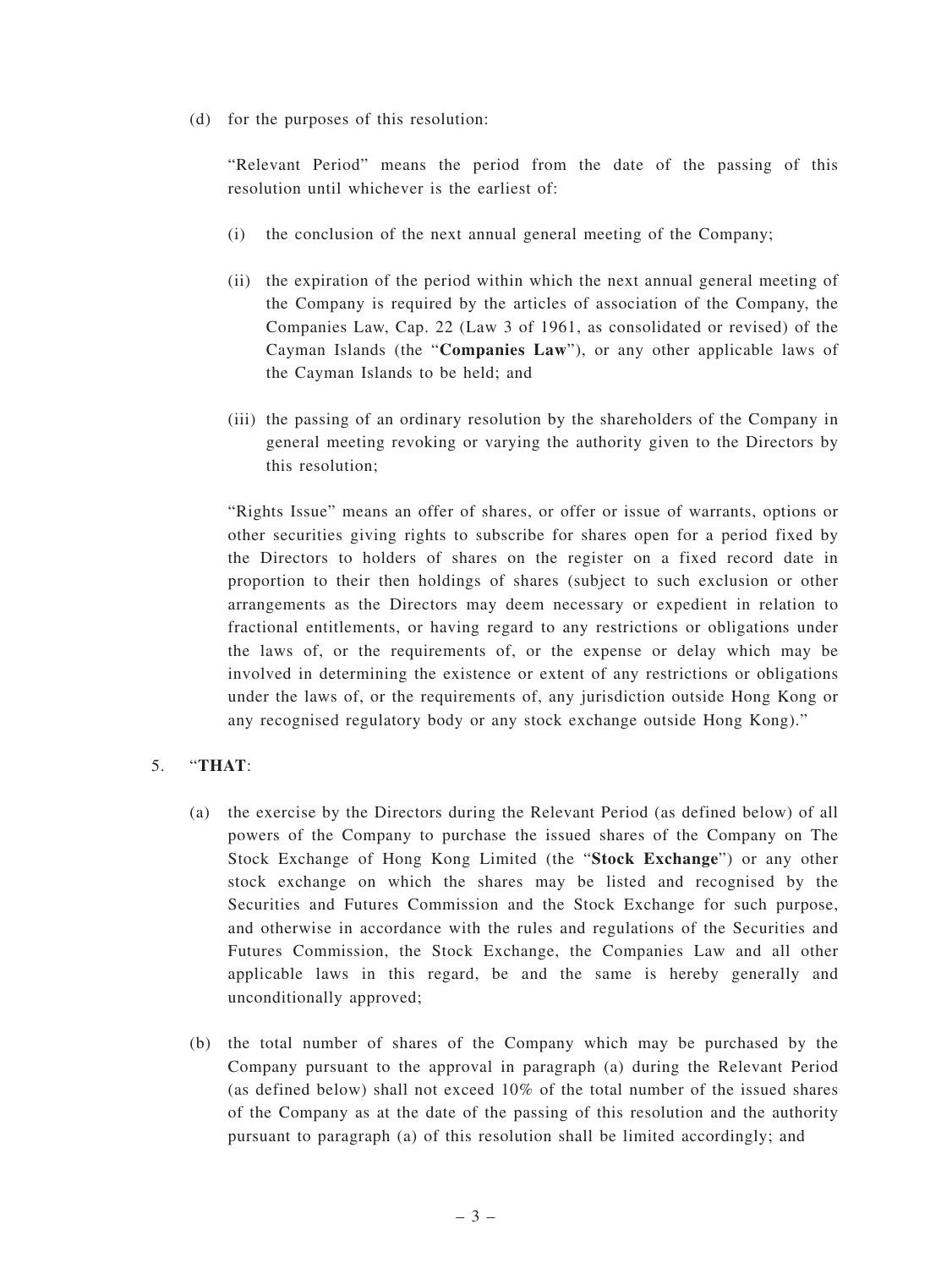(d) for the purposes of this resolution:

"Relevant Period" means the period from the date of the passing of this resolution until whichever is the earliest of:

- (i) the conclusion of the next annual general meeting of the Company;
- (ii) the expiration of the period within which the next annual general meeting of the Company is required by the articles of association of the Company, the Companies Law, Cap. 22 (Law 3 of 1961, as consolidated or revised) of the Cayman Islands (the "**Companies Law**"), or any other applicable laws of the Cayman Islands to be held; and
- (iii) the passing of an ordinary resolution by the shareholders of the Company in general meeting revoking or varying the authority given to the Directors by this resolution;

"Rights Issue" means an offer of shares, or offer or issue of warrants, options or other securities giving rights to subscribe for shares open for a period fixed by the Directors to holders of shares on the register on a fixed record date in proportion to their then holdings of shares (subject to such exclusion or other arrangements as the Directors may deem necessary or expedient in relation to fractional entitlements, or having regard to any restrictions or obligations under the laws of, or the requirements of, or the expense or delay which may be involved in determining the existence or extent of any restrictions or obligations under the laws of, or the requirements of, any jurisdiction outside Hong Kong or any recognised regulatory body or any stock exchange outside Hong Kong)."

## 5. "**THAT**:

- (a) the exercise by the Directors during the Relevant Period (as defined below) of all powers of the Company to purchase the issued shares of the Company on The Stock Exchange of Hong Kong Limited (the "**Stock Exchange**") or any other stock exchange on which the shares may be listed and recognised by the Securities and Futures Commission and the Stock Exchange for such purpose, and otherwise in accordance with the rules and regulations of the Securities and Futures Commission, the Stock Exchange, the Companies Law and all other applicable laws in this regard, be and the same is hereby generally and unconditionally approved;
- (b) the total number of shares of the Company which may be purchased by the Company pursuant to the approval in paragraph (a) during the Relevant Period (as defined below) shall not exceed 10% of the total number of the issued shares of the Company as at the date of the passing of this resolution and the authority pursuant to paragraph (a) of this resolution shall be limited accordingly; and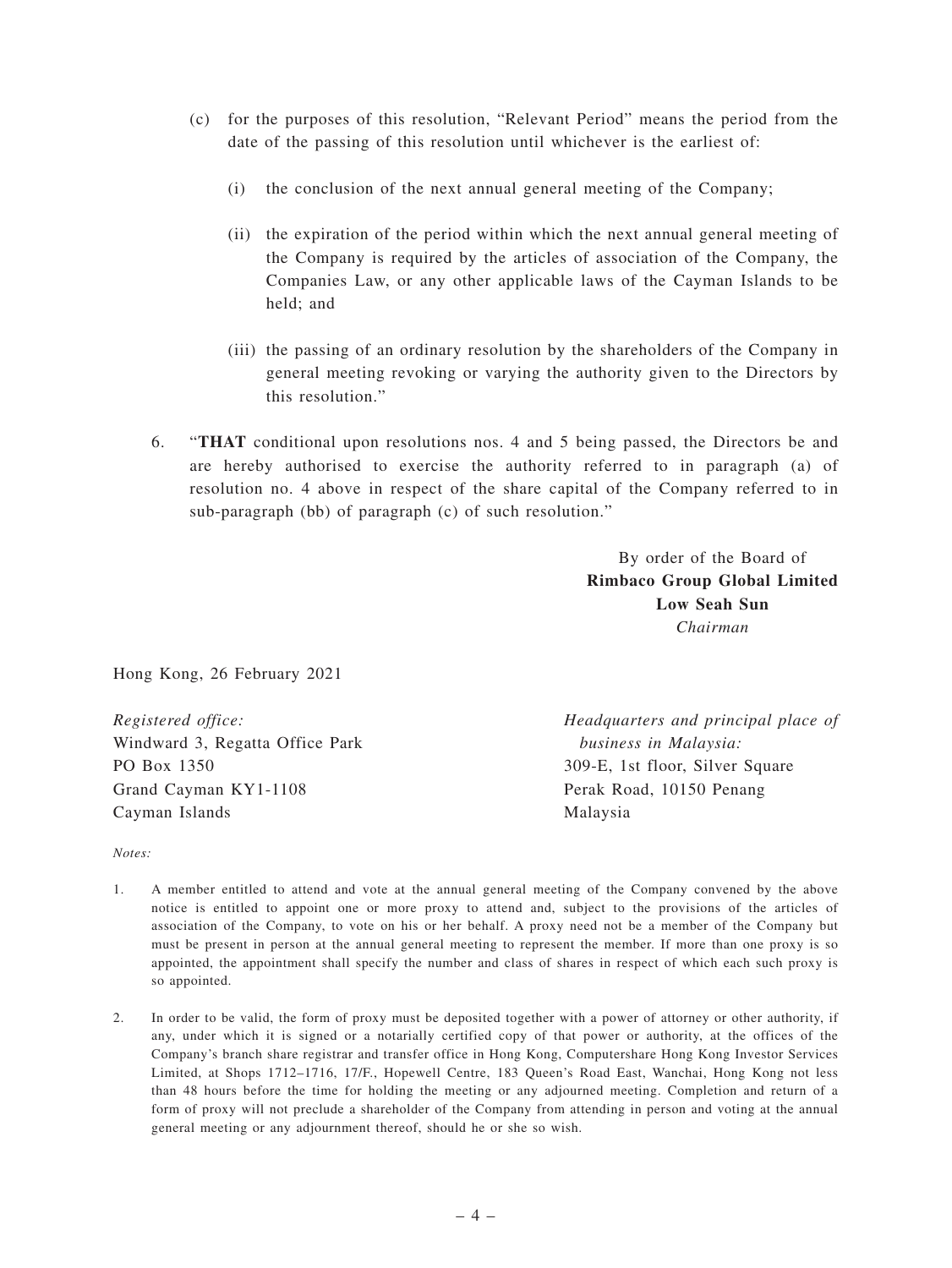- (c) for the purposes of this resolution, "Relevant Period" means the period from the date of the passing of this resolution until whichever is the earliest of:
	- (i) the conclusion of the next annual general meeting of the Company;
	- (ii) the expiration of the period within which the next annual general meeting of the Company is required by the articles of association of the Company, the Companies Law, or any other applicable laws of the Cayman Islands to be held; and
	- (iii) the passing of an ordinary resolution by the shareholders of the Company in general meeting revoking or varying the authority given to the Directors by this resolution."
- 6. "**THAT** conditional upon resolutions nos. 4 and 5 being passed, the Directors be and are hereby authorised to exercise the authority referred to in paragraph (a) of resolution no. 4 above in respect of the share capital of the Company referred to in sub-paragraph (bb) of paragraph (c) of such resolution."

By order of the Board of **Rimbaco Group Global Limited Low Seah Sun** *Chairman*

Hong Kong, 26 February 2021

*Registered office:* Windward 3, Regatta Office Park PO Box 1350 Grand Cayman KY1-1108 Cayman Islands

*Headquarters and principal place of business in Malaysia:* 309-E, 1st floor, Silver Square Perak Road, 10150 Penang Malaysia

*Notes:*

- 1. A member entitled to attend and vote at the annual general meeting of the Company convened by the above notice is entitled to appoint one or more proxy to attend and, subject to the provisions of the articles of association of the Company, to vote on his or her behalf. A proxy need not be a member of the Company but must be present in person at the annual general meeting to represent the member. If more than one proxy is so appointed, the appointment shall specify the number and class of shares in respect of which each such proxy is so appointed.
- 2. In order to be valid, the form of proxy must be deposited together with a power of attorney or other authority, if any, under which it is signed or a notarially certified copy of that power or authority, at the offices of the Company's branch share registrar and transfer office in Hong Kong, Computershare Hong Kong Investor Services Limited, at Shops 1712–1716, 17/F., Hopewell Centre, 183 Queen's Road East, Wanchai, Hong Kong not less than 48 hours before the time for holding the meeting or any adjourned meeting. Completion and return of a form of proxy will not preclude a shareholder of the Company from attending in person and voting at the annual general meeting or any adjournment thereof, should he or she so wish.